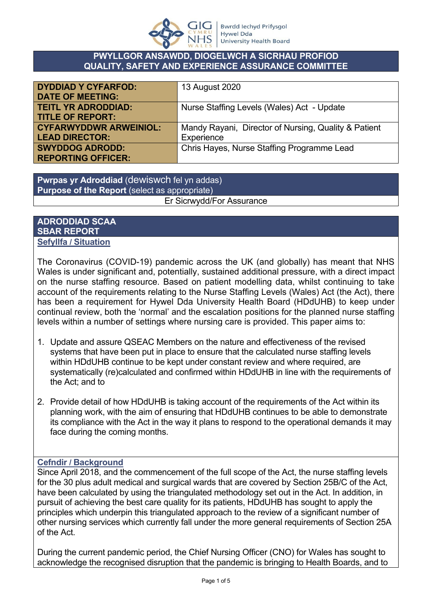

### **PWYLLGOR ANSAWDD, DIOGELWCH A SICRHAU PROFIOD QUALITY, SAFETY AND EXPERIENCE ASSURANCE COMMITTEE**

| <b>DYDDIAD Y CYFARFOD:</b>    | 13 August 2020                                       |
|-------------------------------|------------------------------------------------------|
| <b>DATE OF MEETING:</b>       |                                                      |
| <b>TEITL YR ADRODDIAD:</b>    | Nurse Staffing Levels (Wales) Act - Update           |
| <b>TITLE OF REPORT:</b>       |                                                      |
| <b>CYFARWYDDWR ARWEINIOL:</b> | Mandy Rayani, Director of Nursing, Quality & Patient |
| <b>LEAD DIRECTOR:</b>         | Experience                                           |
| <b>SWYDDOG ADRODD:</b>        | Chris Hayes, Nurse Staffing Programme Lead           |
| <b>REPORTING OFFICER:</b>     |                                                      |

**Pwrpas yr Adroddiad** (dewiswch fel yn addas) **Purpose of the Report** (select as appropriate) Er Sicrwydd/For Assurance

#### **ADRODDIAD SCAA SBAR REPORT Sefyllfa / Situation**

The Coronavirus (COVID-19) pandemic across the UK (and globally) has meant that NHS Wales is under significant and, potentially, sustained additional pressure, with a direct impact on the nurse staffing resource. Based on patient modelling data, whilst continuing to take account of the requirements relating to the Nurse Staffing Levels (Wales) Act (the Act), there has been a requirement for Hywel Dda University Health Board (HDdUHB) to keep under continual review, both the 'normal' and the escalation positions for the planned nurse staffing levels within a number of settings where nursing care is provided. This paper aims to:

- 1. Update and assure QSEAC Members on the nature and effectiveness of the revised systems that have been put in place to ensure that the calculated nurse staffing levels within HDdUHB continue to be kept under constant review and where required, are systematically (re)calculated and confirmed within HDdUHB in line with the requirements of the Act; and to
- 2. Provide detail of how HDdUHB is taking account of the requirements of the Act within its planning work, with the aim of ensuring that HDdUHB continues to be able to demonstrate its compliance with the Act in the way it plans to respond to the operational demands it may face during the coming months.

## **Cefndir / Background**

Since April 2018, and the commencement of the full scope of the Act, the nurse staffing levels for the 30 plus adult medical and surgical wards that are covered by Section 25B/C of the Act, have been calculated by using the triangulated methodology set out in the Act. In addition, in pursuit of achieving the best care quality for its patients, HDdUHB has sought to apply the principles which underpin this triangulated approach to the review of a significant number of other nursing services which currently fall under the more general requirements of Section 25A of the Act.

During the current pandemic period, the Chief Nursing Officer (CNO) for Wales has sought to acknowledge the recognised disruption that the pandemic is bringing to Health Boards, and to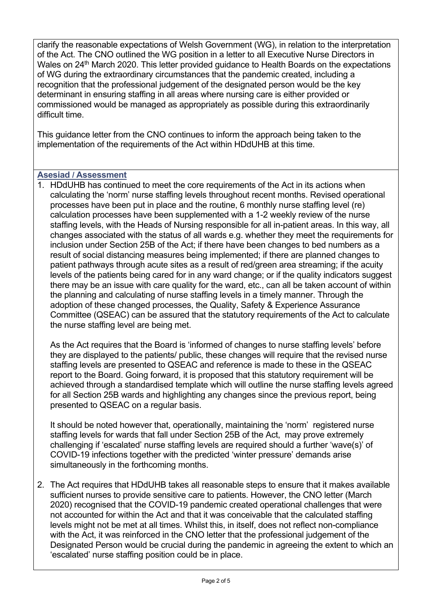clarify the reasonable expectations of Welsh Government (WG), in relation to the interpretation of the Act. The CNO outlined the WG position in a letter to all Executive Nurse Directors in Wales on 24<sup>th</sup> March 2020. This letter provided guidance to Health Boards on the expectations of WG during the extraordinary circumstances that the pandemic created, including a recognition that the professional judgement of the designated person would be the key determinant in ensuring staffing in all areas where nursing care is either provided or commissioned would be managed as appropriately as possible during this extraordinarily difficult time.

This guidance letter from the CNO continues to inform the approach being taken to the implementation of the requirements of the Act within HDdUHB at this time.

### **Asesiad / Assessment**

1. HDdUHB has continued to meet the core requirements of the Act in its actions when calculating the 'norm' nurse staffing levels throughout recent months. Revised operational processes have been put in place and the routine, 6 monthly nurse staffing level (re) calculation processes have been supplemented with a 1-2 weekly review of the nurse staffing levels, with the Heads of Nursing responsible for all in-patient areas. In this way, all changes associated with the status of all wards e.g. whether they meet the requirements for inclusion under Section 25B of the Act; if there have been changes to bed numbers as a result of social distancing measures being implemented; if there are planned changes to patient pathways through acute sites as a result of red/green area streaming; if the acuity levels of the patients being cared for in any ward change; or if the quality indicators suggest there may be an issue with care quality for the ward, etc., can all be taken account of within the planning and calculating of nurse staffing levels in a timely manner. Through the adoption of these changed processes, the Quality, Safety & Experience Assurance Committee (QSEAC) can be assured that the statutory requirements of the Act to calculate the nurse staffing level are being met.

As the Act requires that the Board is 'informed of changes to nurse staffing levels' before they are displayed to the patients/ public, these changes will require that the revised nurse staffing levels are presented to QSEAC and reference is made to these in the QSEAC report to the Board. Going forward, it is proposed that this statutory requirement will be achieved through a standardised template which will outline the nurse staffing levels agreed for all Section 25B wards and highlighting any changes since the previous report, being presented to QSEAC on a regular basis.

It should be noted however that, operationally, maintaining the 'norm' registered nurse staffing levels for wards that fall under Section 25B of the Act, may prove extremely challenging if 'escalated' nurse staffing levels are required should a further 'wave(s)' of COVID-19 infections together with the predicted 'winter pressure' demands arise simultaneously in the forthcoming months.

2. The Act requires that HDdUHB takes all reasonable steps to ensure that it makes available sufficient nurses to provide sensitive care to patients. However, the CNO letter (March 2020) recognised that the COVID-19 pandemic created operational challenges that were not accounted for within the Act and that it was conceivable that the calculated staffing levels might not be met at all times. Whilst this, in itself, does not reflect non-compliance with the Act, it was reinforced in the CNO letter that the professional judgement of the Designated Person would be crucial during the pandemic in agreeing the extent to which an 'escalated' nurse staffing position could be in place.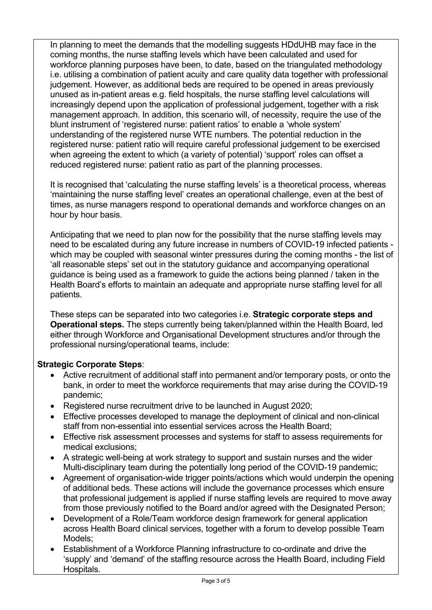In planning to meet the demands that the modelling suggests HDdUHB may face in the coming months, the nurse staffing levels which have been calculated and used for workforce planning purposes have been, to date, based on the triangulated methodology i.e. utilising a combination of patient acuity and care quality data together with professional judgement. However, as additional beds are required to be opened in areas previously unused as in-patient areas e.g. field hospitals, the nurse staffing level calculations will increasingly depend upon the application of professional judgement, together with a risk management approach. In addition, this scenario will, of necessity, require the use of the blunt instrument of 'registered nurse: patient ratios' to enable a 'whole system' understanding of the registered nurse WTE numbers. The potential reduction in the registered nurse: patient ratio will require careful professional judgement to be exercised when agreeing the extent to which (a variety of potential) 'support' roles can offset a reduced registered nurse: patient ratio as part of the planning processes.

It is recognised that 'calculating the nurse staffing levels' is a theoretical process, whereas 'maintaining the nurse staffing level' creates an operational challenge, even at the best of times, as nurse managers respond to operational demands and workforce changes on an hour by hour basis.

Anticipating that we need to plan now for the possibility that the nurse staffing levels may need to be escalated during any future increase in numbers of COVID-19 infected patients which may be coupled with seasonal winter pressures during the coming months - the list of 'all reasonable steps' set out in the statutory guidance and accompanying operational guidance is being used as a framework to guide the actions being planned / taken in the Health Board's efforts to maintain an adequate and appropriate nurse staffing level for all patients.

These steps can be separated into two categories i.e. **Strategic corporate steps and Operational steps.** The steps currently being taken/planned within the Health Board, led either through Workforce and Organisational Development structures and/or through the professional nursing/operational teams, include:

## **Strategic Corporate Steps**:

- Active recruitment of additional staff into permanent and/or temporary posts, or onto the bank, in order to meet the workforce requirements that may arise during the COVID-19 pandemic;
- Registered nurse recruitment drive to be launched in August 2020;
- Effective processes developed to manage the deployment of clinical and non-clinical staff from non-essential into essential services across the Health Board;
- Effective risk assessment processes and systems for staff to assess requirements for medical exclusions;
- A strategic well-being at work strategy to support and sustain nurses and the wider Multi-disciplinary team during the potentially long period of the COVID-19 pandemic;
- Agreement of organisation-wide trigger points/actions which would underpin the opening of additional beds. These actions will include the governance processes which ensure that professional judgement is applied if nurse staffing levels are required to move away from those previously notified to the Board and/or agreed with the Designated Person;
- Development of a Role/Team workforce design framework for general application across Health Board clinical services, together with a forum to develop possible Team Models;
- Establishment of a Workforce Planning infrastructure to co-ordinate and drive the 'supply' and 'demand' of the staffing resource across the Health Board, including Field Hospitals.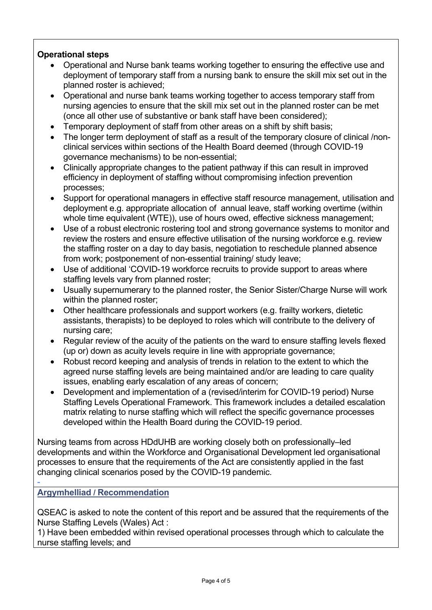# **Operational steps**

- Operational and Nurse bank teams working together to ensuring the effective use and deployment of temporary staff from a nursing bank to ensure the skill mix set out in the planned roster is achieved;
- Operational and nurse bank teams working together to access temporary staff from nursing agencies to ensure that the skill mix set out in the planned roster can be met (once all other use of substantive or bank staff have been considered);
- Temporary deployment of staff from other areas on a shift by shift basis;
- The longer term deployment of staff as a result of the temporary closure of clinical /nonclinical services within sections of the Health Board deemed (through COVID-19 governance mechanisms) to be non-essential;
- Clinically appropriate changes to the patient pathway if this can result in improved efficiency in deployment of staffing without compromising infection prevention processes;
- Support for operational managers in effective staff resource management, utilisation and deployment e.g. appropriate allocation of annual leave, staff working overtime (within whole time equivalent (WTE)), use of hours owed, effective sickness management;
- Use of a robust electronic rostering tool and strong governance systems to monitor and review the rosters and ensure effective utilisation of the nursing workforce e.g. review the staffing roster on a day to day basis, negotiation to reschedule planned absence from work; postponement of non-essential training/ study leave;
- Use of additional 'COVID-19 workforce recruits to provide support to areas where staffing levels vary from planned roster;
- Usually supernumerary to the planned roster, the Senior Sister/Charge Nurse will work within the planned roster;
- Other healthcare professionals and support workers (e.g. frailty workers, dietetic assistants, therapists) to be deployed to roles which will contribute to the delivery of nursing care;
- Regular review of the acuity of the patients on the ward to ensure staffing levels flexed (up or) down as acuity levels require in line with appropriate governance;
- Robust record keeping and analysis of trends in relation to the extent to which the agreed nurse staffing levels are being maintained and/or are leading to care quality issues, enabling early escalation of any areas of concern;
- Development and implementation of a (revised/interim for COVID-19 period) Nurse Staffing Levels Operational Framework. This framework includes a detailed escalation matrix relating to nurse staffing which will reflect the specific governance processes developed within the Health Board during the COVID-19 period.

Nursing teams from across HDdUHB are working closely both on professionally–led developments and within the Workforce and Organisational Development led organisational processes to ensure that the requirements of the Act are consistently applied in the fast changing clinical scenarios posed by the COVID-19 pandemic.

**Argymhelliad / Recommendation**

-

QSEAC is asked to note the content of this report and be assured that the requirements of the Nurse Staffing Levels (Wales) Act :

1) Have been embedded within revised operational processes through which to calculate the nurse staffing levels; and